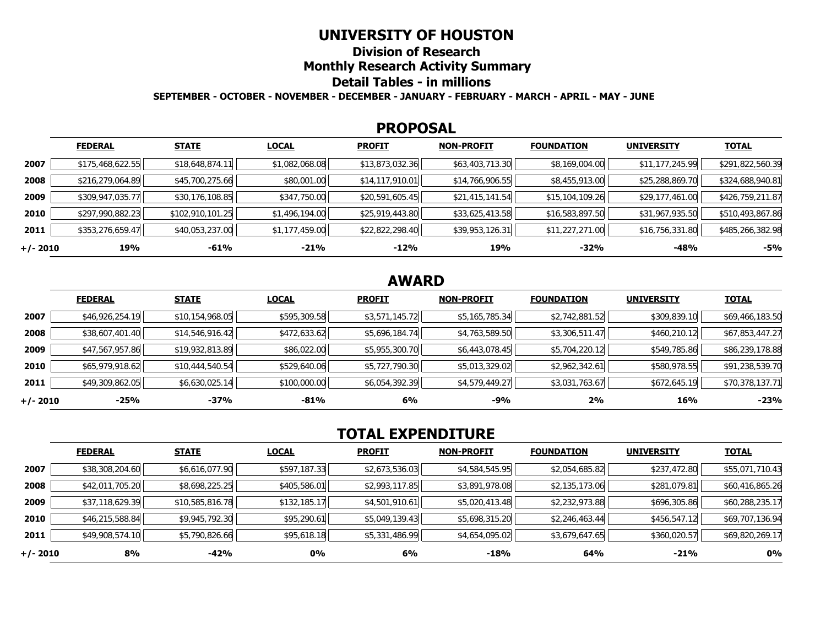## **UNIVERSITY OF HOUSTON**

**Division of Research** 

**Monthly Research Activity Summary** 

## **Detail Tables - in millions**

**SEPTEMBER - OCTOBER - NOVEMBER - DECEMBER - JANUARY - FEBRUARY - MARCH - APRIL - MAY - JUNE** 

### **PROPOSAL**

|            | <b>FEDERAL</b>   | <b>STATE</b>     | <b>LOCAL</b>   | <b>PROFIT</b>   | <b>NON-PROFIT</b> | <b>FOUNDATION</b> | <b>UNIVERSITY</b> | <b>TOTAL</b>     |
|------------|------------------|------------------|----------------|-----------------|-------------------|-------------------|-------------------|------------------|
| 2007       | \$175,468,622.55 | \$18,648,874.11  | \$1,082,068.08 | \$13,873,032.36 | \$63,403,713.30   | \$8,169,004.00    | \$11,177,245.99   | \$291,822,560.39 |
| 2008       | \$216,279,064.89 | \$45,700,275.66  | \$80,001.00    | \$14,117,910.01 | \$14,766,906.55   | \$8,455,913.00    | \$25,288,869.70   | \$324,688,940.81 |
| 2009       | \$309,947,035.77 | \$30,176,108.85  | \$347,750.00   | \$20,591,605.45 | \$21,415,141.54   | \$15,104,109.26   | \$29,177,461.00   | \$426,759,211.87 |
| 2010       | \$297,990,882.23 | \$102,910,101.25 | \$1,496,194.00 | \$25,919,443.80 | \$33,625,413.58   | \$16,583,897.50   | \$31,967,935.50   | \$510,493,867.86 |
| 2011       | \$353,276,659.47 | \$40,053,237.00  | \$1,177,459.00 | \$22,822,298.40 | \$39,953,126.31   | \$11,227,271.00   | \$16,756,331.80   | \$485,266,382.98 |
| $+/- 2010$ | 19%              | -61%             | $-21%$         | $-12%$          | 19%               | -32%              | $-48%$            | $-5%$            |

## **AWARD**

|          | <b>FEDERAL</b>  | <b>STATE</b>    | <b>LOCAL</b> | <b>PROFIT</b>  | <b>NON-PROFIT</b> | <b>FOUNDATION</b> | <b>UNIVERSITY</b> | <b>TOTAL</b>    |
|----------|-----------------|-----------------|--------------|----------------|-------------------|-------------------|-------------------|-----------------|
| 2007     | \$46,926,254.19 | \$10,154,968.05 | \$595,309.58 | \$3,571,145.72 | \$5,165,785.34    | \$2,742,881.52    | \$309,839.10      | \$69,466,183.50 |
| 2008     | \$38,607,401.40 | \$14,546,916.42 | \$472,633.62 | \$5,696,184.74 | \$4,763,589.50    | \$3,306,511.47    | \$460,210.12      | \$67,853,447.27 |
| 2009     | \$47,567,957.86 | \$19,932,813.89 | \$86,022.00  | \$5,955,300.70 | \$6,443,078.45    | \$5,704,220.12    | \$549,785.86      | \$86,239,178.88 |
| 2010     | \$65,979,918.62 | \$10,444,540.54 | \$529,640.06 | \$5,727,790.30 | \$5,013,329.02    | \$2,962,342.61    | \$580,978.55      | \$91,238,539.70 |
| 2011     | \$49,309,862.05 | \$6,630,025.14  | \$100,000.00 | \$6,054,392.39 | \$4,579,449.27    | \$3,031,763.67    | \$672,645.19      | \$70,378,137.71 |
| +/- 2010 | -25%            | $-37%$          | -81%         | 6%             | -9%               | 2%                | 16%               | $-23%$          |

# **TOTAL EXPENDITURE**

|          | <b>FEDERAL</b>  | <b>STATE</b>    | <b>LOCAL</b> | <b>PROFIT</b>  | <b>NON-PROFIT</b> | <b>FOUNDATION</b> | <b>UNIVERSITY</b> | <b>TOTAL</b>    |
|----------|-----------------|-----------------|--------------|----------------|-------------------|-------------------|-------------------|-----------------|
| 2007     | \$38,308,204.60 | \$6,616,077.90  | \$597,187.33 | \$2,673,536.03 | \$4,584,545.95    | \$2,054,685.82    | \$237,472.80      | \$55,071,710.43 |
| 2008     | \$42,011,705.20 | \$8,698,225.25  | \$405,586.01 | \$2,993,117.85 | \$3,891,978.08    | \$2,135,173.06    | \$281,079.81      | \$60,416,865.26 |
| 2009     | \$37,118,629.39 | \$10,585,816.78 | \$132,185.17 | \$4,501,910.61 | \$5,020,413.48    | \$2,232,973.88    | \$696,305.86      | \$60,288,235.17 |
| 2010     | \$46,215,588.84 | \$9,945,792.30  | \$95,290.61  | \$5,049,139.43 | \$5,698,315.20    | \$2,246,463.44    | \$456,547.12      | \$69,707,136.94 |
| 2011     | \$49,908,574.10 | \$5,790,826.66  | \$95,618.18  | \$5,331,486.99 | \$4,654,095.02    | \$3,679,647.65    | \$360,020.57      | \$69,820,269.17 |
| +/- 2010 | 8%              | -42%            | 0%           | 6%             | $-18%$            | 64%               | $-21%$            | <b>0%</b>       |